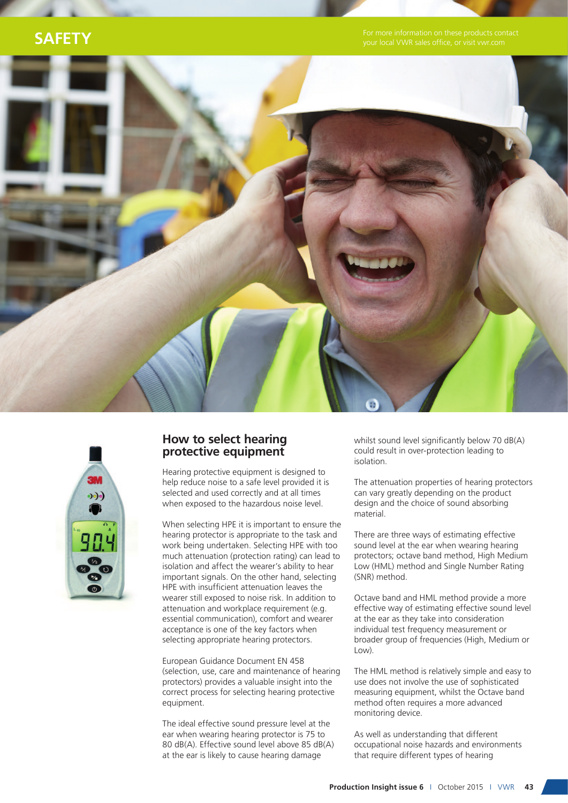### **Safety**





#### **How to select hearing protective equipment**

Hearing protective equipment is designed to help reduce noise to a safe level provided it is selected and used correctly and at all times when exposed to the hazardous noise level.

When selecting HPE it is important to ensure the hearing protector is appropriate to the task and work being undertaken. Selecting HPE with too much attenuation (protection rating) can lead to isolation and affect the wearer's ability to hear important signals. On the other hand, selecting HPE with insufficient attenuation leaves the wearer still exposed to noise risk. In addition to attenuation and workplace requirement (e.g. essential communication), comfort and wearer acceptance is one of the key factors when selecting appropriate hearing protectors.

European Guidance Document EN 458 (selection, use, care and maintenance of hearing protectors) provides a valuable insight into the correct process for selecting hearing protective equipment.

The ideal effective sound pressure level at the ear when wearing hearing protector is 75 to 80 dB(A). Effective sound level above 85 dB(A) at the ear is likely to cause hearing damage

whilst sound level significantly below 70 dB(A) could result in over-protection leading to isolation.

The attenuation properties of hearing protectors can vary greatly depending on the product design and the choice of sound absorbing material.

There are three ways of estimating effective sound level at the ear when wearing hearing protectors; octave band method, High Medium Low (HML) method and Single Number Rating (SNR) method.

Octave band and HML method provide a more effective way of estimating effective sound level at the ear as they take into consideration individual test frequency measurement or broader group of frequencies (High, Medium or Low).

The HML method is relatively simple and easy to use does not involve the use of sophisticated measuring equipment, whilst the Octave band method often requires a more advanced monitoring device.

As well as understanding that different occupational noise hazards and environments that require different types of hearing